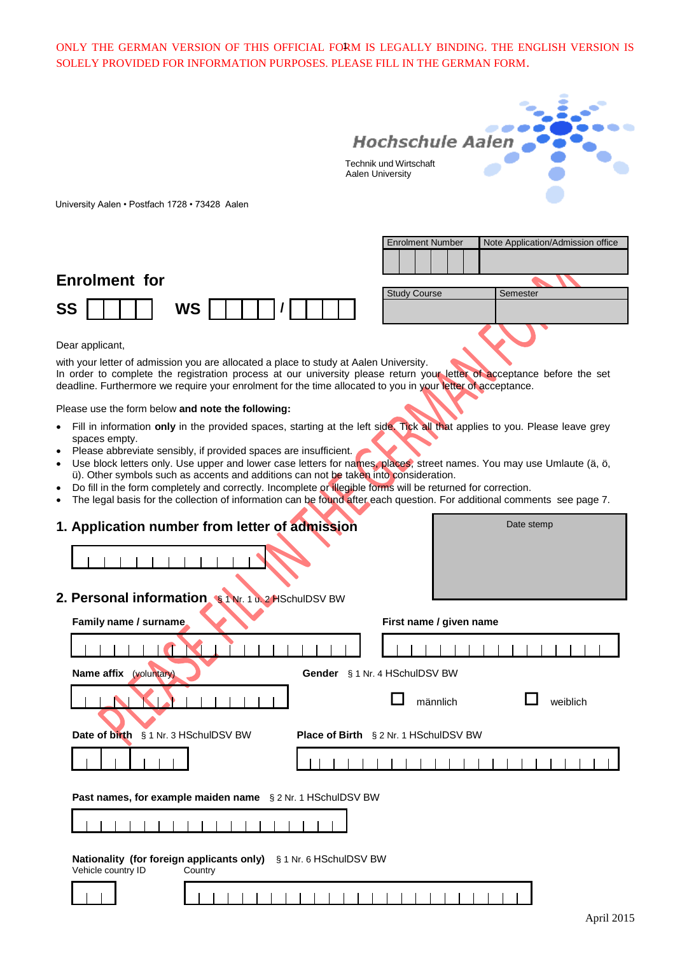ONLY THE GERMAN VERSION OF THIS OFFICIAL FORM IS LEGALLY BINDING. THE ENGLISH VERSION IS 1 SOLELY PROVIDED FOR INFORMATION PURPOSES. PLEASE FILL IN THE GERMAN FORM.



University Aalen • Postfach 1728 • 73428 Aalen





Dear applicant,

with your letter of admission you are allocated a place to study at Aalen University. In order to complete the registration process at our university please return your letter of acceptance before the set deadline. Furthermore we require your enrolment for the time allocated to you in your letter of acceptance.

Please use the form below **and note the following:**

- Fill in information **only** in the provided spaces, starting at the left side. Tick all that applies to you. Please leave grey spaces empty.
- Please abbreviate sensibly, if provided spaces are insufficient.
- Use block letters only. Use upper and lower case letters for names, places, street names. You may use Umlaute (ä, ö, ü). Other symbols such as accents and additions can not be taken into consideration.
- Do fill in the form completely and correctly. Incomplete or illegible forms will be returned for correction.
- The legal basis for the collection of information can be found after each question. For additional comments see page 7.

| 1. Application number from letter of admission                                                    | Date stemp                                   |
|---------------------------------------------------------------------------------------------------|----------------------------------------------|
|                                                                                                   |                                              |
| 2. Personal information \$1Nr. 1 u. 2 HSchulDSV BW                                                |                                              |
| Family name / surname                                                                             | First name / given name                      |
|                                                                                                   |                                              |
| Name affix<br>(voluntary)                                                                         | Gender § 1 Nr. 4 HSchulDSV BW                |
|                                                                                                   | männlich<br>weiblich                         |
| Date of birth § 1 Nr. 3 HSchulDSV BW                                                              | <b>Place of Birth</b> § 2 Nr. 1 HSchulDSV BW |
|                                                                                                   |                                              |
| Past names, for example maiden name § 2 Nr. 1 HSchulDSV BW                                        |                                              |
|                                                                                                   |                                              |
| Nationality (for foreign applicants only) § 1 Nr. 6 HSchulDSV BW<br>Vehicle country ID<br>Country |                                              |
|                                                                                                   |                                              |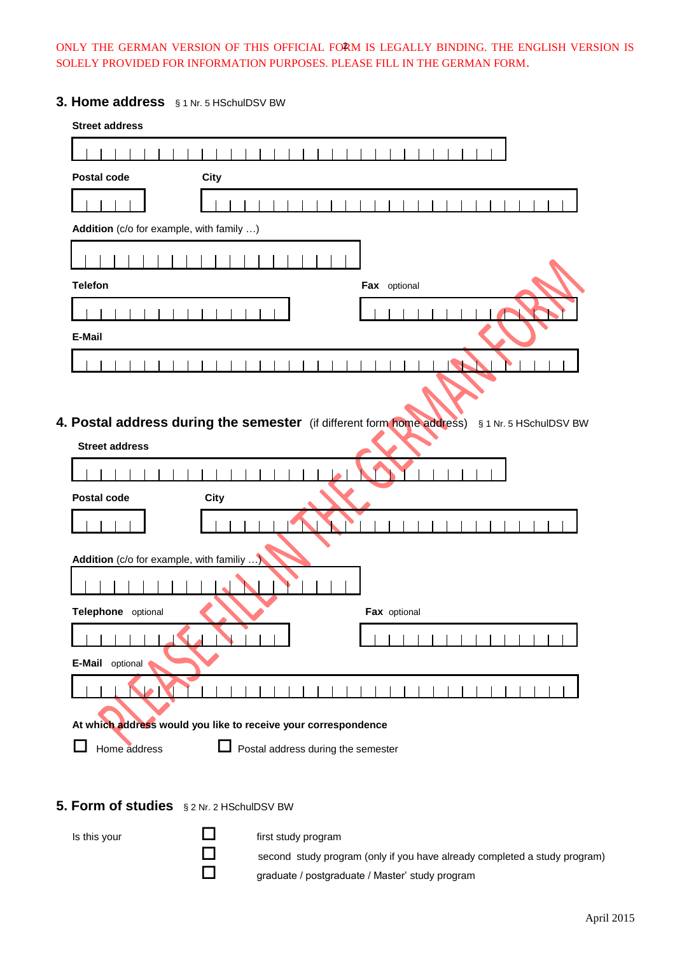# ONLY THE GERMAN VERSION OF THIS OFFICIAL FORM IS LEGALLY BINDING. THE ENGLISH VERSION IS 2 SOLELY PROVIDED FOR INFORMATION PURPOSES. PLEASE FILL IN THE GERMAN FORM.

# **3. Home address** § 1 Nr. 5 HSchulDSV BW

| <b>Street address</b>                     |                                                                                                  |
|-------------------------------------------|--------------------------------------------------------------------------------------------------|
|                                           |                                                                                                  |
| <b>Postal code</b>                        | <b>City</b>                                                                                      |
|                                           |                                                                                                  |
| Addition (c/o for example, with family )  |                                                                                                  |
|                                           |                                                                                                  |
| <b>Telefon</b>                            | Fax optional                                                                                     |
|                                           |                                                                                                  |
| E-Mail                                    |                                                                                                  |
|                                           |                                                                                                  |
|                                           |                                                                                                  |
|                                           | 4. Postal address during the semester (if different form home address)<br>§ 1 Nr. 5 HSchulDSV BW |
| <b>Street address</b>                     |                                                                                                  |
|                                           |                                                                                                  |
| Postal code                               | <b>City</b>                                                                                      |
|                                           |                                                                                                  |
| Addition (c/o for example, with familiy ) |                                                                                                  |
|                                           |                                                                                                  |
| Telephone optional                        | Fax optional                                                                                     |
|                                           |                                                                                                  |
| E-Mail optional                           |                                                                                                  |
|                                           |                                                                                                  |
|                                           |                                                                                                  |
|                                           | At which address would you like to receive your correspondence                                   |
| Home address                              | $\mathbf{L}$<br>Postal address during the semester                                               |

## **5. Form of studies** § 2 Nr. 2 HSchulDSV BW

Is this your  $\Box$  first study program

second study program (only if you have already completed a study program) graduate / postgraduate / Master' study program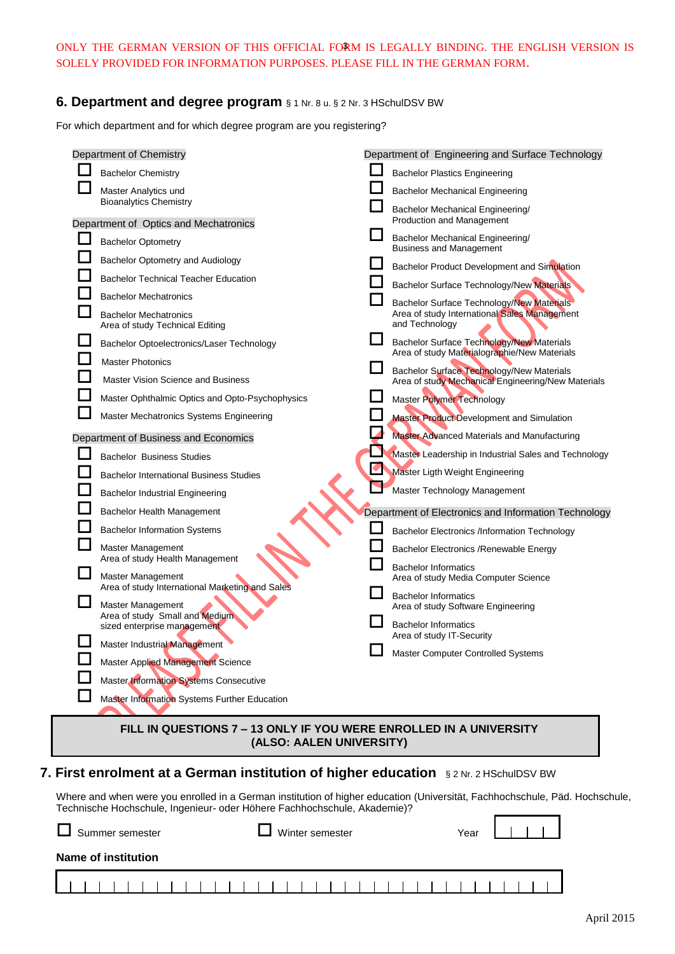## ONLY THE GERMAN VERSION OF THIS OFFICIAL FORM IS LEGALLY BINDING. THE ENGLISH VERSION IS 3 SOLELY PROVIDED FOR INFORMATION PURPOSES. PLEASE FILL IN THE GERMAN FORM.

## **6. Department and degree program** § 1 Nr. 8 u. § 2 Nr. 3 HSchulDSV BW

For which department and for which degree program are you registering?

| Department of Chemistry                                            |  | Department of Engineering and Surface Technology                                                       |
|--------------------------------------------------------------------|--|--------------------------------------------------------------------------------------------------------|
| <b>Bachelor Chemistry</b>                                          |  | <b>Bachelor Plastics Engineering</b>                                                                   |
| Master Analytics und                                               |  | <b>Bachelor Mechanical Engineering</b>                                                                 |
| <b>Bioanalytics Chemistry</b>                                      |  | Bachelor Mechanical Engineering/                                                                       |
| Department of Optics and Mechatronics                              |  | <b>Production and Management</b>                                                                       |
| <b>Bachelor Optometry</b>                                          |  | Bachelor Mechanical Engineering/<br><b>Business and Management</b>                                     |
| Bachelor Optometry and Audiology                                   |  | Bachelor Product Development and Simulation                                                            |
| <b>Bachelor Technical Teacher Education</b>                        |  | Bachelor Surface Technology/New Materials                                                              |
| <b>Bachelor Mechatronics</b>                                       |  | Bachelor Surface Technology/New Materials                                                              |
| <b>Bachelor Mechatronics</b><br>Area of study Technical Editing    |  | Area of study International Sales Management<br>and Technology                                         |
| Bachelor Optoelectronics/Laser Technology                          |  | <b>Bachelor Surface Technology/New Materials</b><br>Area of study Materialographie/New Materials       |
| <b>Master Photonics</b>                                            |  |                                                                                                        |
| Master Vision Science and Business                                 |  | <b>Bachelor Surface Technology/New Materials</b><br>Area of study Mechanical Engineering/New Materials |
| Master Ophthalmic Optics and Opto-Psychophysics                    |  | Master Polymer Technology                                                                              |
| Master Mechatronics Systems Engineering                            |  | Master Product Development and Simulation                                                              |
| Department of Business and Economics                               |  | Master Advanced Materials and Manufacturing                                                            |
| <b>Bachelor Business Studies</b>                                   |  | Master Leadership in Industrial Sales and Technology                                                   |
| <b>Bachelor International Business Studies</b>                     |  | Master Ligth Weight Engineering                                                                        |
| <b>Bachelor Industrial Engineering</b>                             |  | Master Technology Management                                                                           |
| Bachelor Health Management                                         |  | Department of Electronics and Information Technology                                                   |
| <b>Bachelor Information Systems</b>                                |  | <b>Bachelor Electronics /Information Technology</b>                                                    |
| Master Management                                                  |  | Bachelor Electronics / Renewable Energy                                                                |
| Area of study Health Management<br><b>Master Management</b>        |  | <b>Bachelor Informatics</b>                                                                            |
| Area of study International Marketing and Sales                    |  | Area of study Media Computer Science                                                                   |
| Master Management                                                  |  | <b>Bachelor Informatics</b><br>Area of study Software Engineering                                      |
| Area of study Small and Medium<br>sized enterprise management      |  | <b>Bachelor Informatics</b><br>Area of study IT-Security                                               |
| Master Industrial Management                                       |  | Master Computer Controlled Systems                                                                     |
| Master Applied Management Science                                  |  |                                                                                                        |
| Master Information Systems Consecutive                             |  |                                                                                                        |
| Master Information Systems Further Education                       |  |                                                                                                        |
| FILL IN QUESTIONS 7 - 13 ONLY IF YOU WERE ENROLLED IN A UNIVERSITY |  |                                                                                                        |

**(ALSO: AALEN UNIVERSITY)** 

# **7. First enrolment at a German institution of higher education** § 2 Nr. 2 HSchulDSV BW

Where and when were you enrolled in a German institution of higher education (Universität, Fachhochschule, Päd. Hochschule, Technische Hochschule, Ingenieur- oder Höhere Fachhochschule, Akademie)? Ē

| Summer semester     | Year |  |
|---------------------|------|--|
| Name of institution |      |  |
|                     |      |  |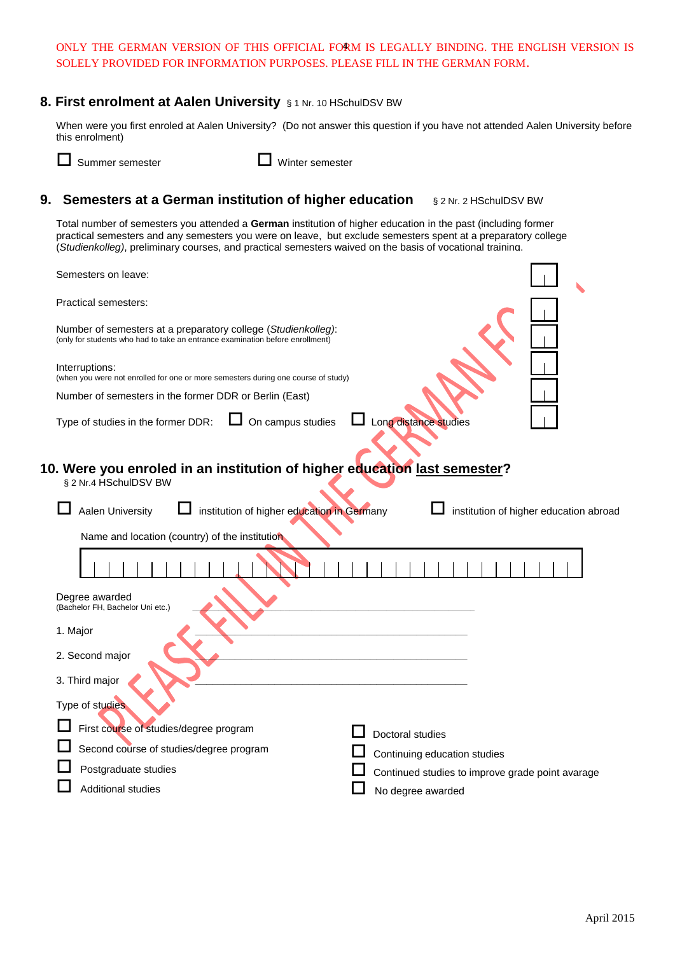## ONLY THE GERMAN VERSION OF THIS OFFICIAL FORM IS LEGALLY BINDING. THE ENGLISH VERSION IS 4 SOLELY PROVIDED FOR INFORMATION PURPOSES. PLEASE FILL IN THE GERMAN FORM.

# **8. First enrolment at Aalen University** § 1 Nr. 10 HSchulDSV BW

When were you first enroled at Aalen University? (Do not answer this question if you have not attended Aalen University before this enrolment)

Summer semester Winter semester

# **9. Semesters at a German institution of higher education § 2 Nr. 2 HSchulDSV BW**

Total number of semesters you attended a **German** institution of higher education in the past (including former practical semesters and any semesters you were on leave, but exclude semesters spent at a preparatory college (*Studienkolleg)*, preliminary courses, and practical semesters waived on the basis of vocational training.

| Semesters on leave:                                                                                                                            |                                                  |
|------------------------------------------------------------------------------------------------------------------------------------------------|--------------------------------------------------|
| <b>Practical semesters:</b>                                                                                                                    |                                                  |
| Number of semesters at a preparatory college (Studienkolleg):<br>(only for students who had to take an entrance examination before enrollment) |                                                  |
| Interruptions:<br>(when you were not enrolled for one or more semesters during one course of study)                                            |                                                  |
| Number of semesters in the former DDR or Berlin (East)                                                                                         |                                                  |
| On campus studies<br>Type of studies in the former DDR:                                                                                        | Long distance studies                            |
| 10. Were you enroled in an institution of higher education last semester?<br>§ 2 Nr.4 HSchulDSV BW                                             |                                                  |
| Aalen University<br>institution of higher education in Germany                                                                                 | institution of higher education abroad           |
| Name and location (country) of the institution                                                                                                 |                                                  |
|                                                                                                                                                |                                                  |
| Degree awarded<br>(Bachelor FH, Bachelor Uni etc.)                                                                                             |                                                  |
| 1. Major                                                                                                                                       |                                                  |
| 2. Second major                                                                                                                                |                                                  |
| 3. Third major                                                                                                                                 |                                                  |
|                                                                                                                                                |                                                  |
| Type of studies                                                                                                                                |                                                  |
| First course of studies/degree program                                                                                                         | Doctoral studies                                 |
| Second course of studies/degree program                                                                                                        | Continuing education studies                     |
| Postgraduate studies<br><b>Additional studies</b>                                                                                              | Continued studies to improve grade point avarage |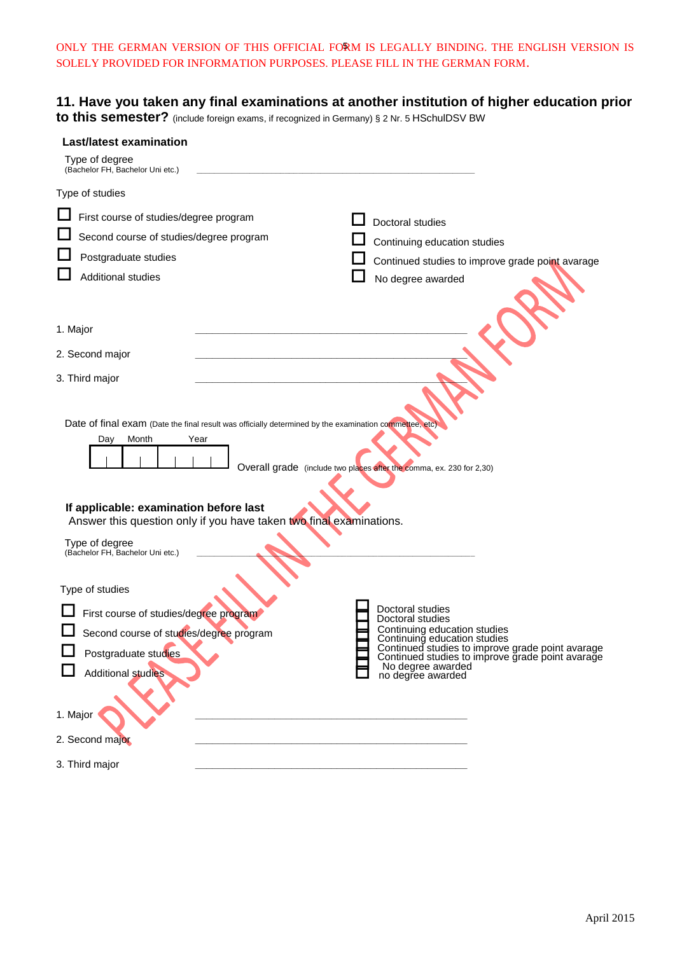ONLY THE GERMAN VERSION OF THIS OFFICIAL FORM IS LEGALLY BINDING. THE ENGLISH VERSION IS 5 SOLELY PROVIDED FOR INFORMATION PURPOSES. PLEASE FILL IN THE GERMAN FORM.

# **11. Have you taken any final examinations at another institution of higher education prior**

**to this semester?** (include foreign exams, if recognized in Germany) § 2 Nr. 5 HSchulDSV BW

| <b>Last/latest examination</b>                                                                                                                                                                                                                  |                                                                                                                  |
|-------------------------------------------------------------------------------------------------------------------------------------------------------------------------------------------------------------------------------------------------|------------------------------------------------------------------------------------------------------------------|
| Type of degree<br>(Bachelor FH, Bachelor Uni etc.)                                                                                                                                                                                              |                                                                                                                  |
| Type of studies                                                                                                                                                                                                                                 |                                                                                                                  |
| First course of studies/degree program                                                                                                                                                                                                          | Doctoral studies                                                                                                 |
| Second course of studies/degree program                                                                                                                                                                                                         | Continuing education studies                                                                                     |
| Postgraduate studies                                                                                                                                                                                                                            | Continued studies to improve grade point avarage                                                                 |
| <b>Additional studies</b>                                                                                                                                                                                                                       | No degree awarded                                                                                                |
| 1. Major                                                                                                                                                                                                                                        |                                                                                                                  |
| 2. Second major                                                                                                                                                                                                                                 |                                                                                                                  |
| 3. Third major                                                                                                                                                                                                                                  |                                                                                                                  |
| Date of final exam (Date the final result was officially determined by the examination commettee, etc)<br>Month<br>Year<br>Day<br>If applicable: examination before last<br>Answer this question only if you have taken two final examinations. | Overall grade (include two places after the comma, ex. 230 for 2,30)                                             |
| Type of degree<br>(Bachelor FH, Bachelor Uni etc.)                                                                                                                                                                                              |                                                                                                                  |
| Type of studies                                                                                                                                                                                                                                 |                                                                                                                  |
| First course of studies/degree program                                                                                                                                                                                                          | Doctoral studies<br>Doctoral studies                                                                             |
| Second course of studies/degree program                                                                                                                                                                                                         | Continuing education studies<br>Continuing education studies<br>Continued studies to improve grade point avarage |
| Postgraduate studies                                                                                                                                                                                                                            | Continued studies to improve grade point avarage<br>No degree awarded                                            |
| <b>Additional studies</b>                                                                                                                                                                                                                       | no degree awarded                                                                                                |
| 1. Major                                                                                                                                                                                                                                        |                                                                                                                  |
| 2. Second major                                                                                                                                                                                                                                 |                                                                                                                  |
| 3. Third major                                                                                                                                                                                                                                  |                                                                                                                  |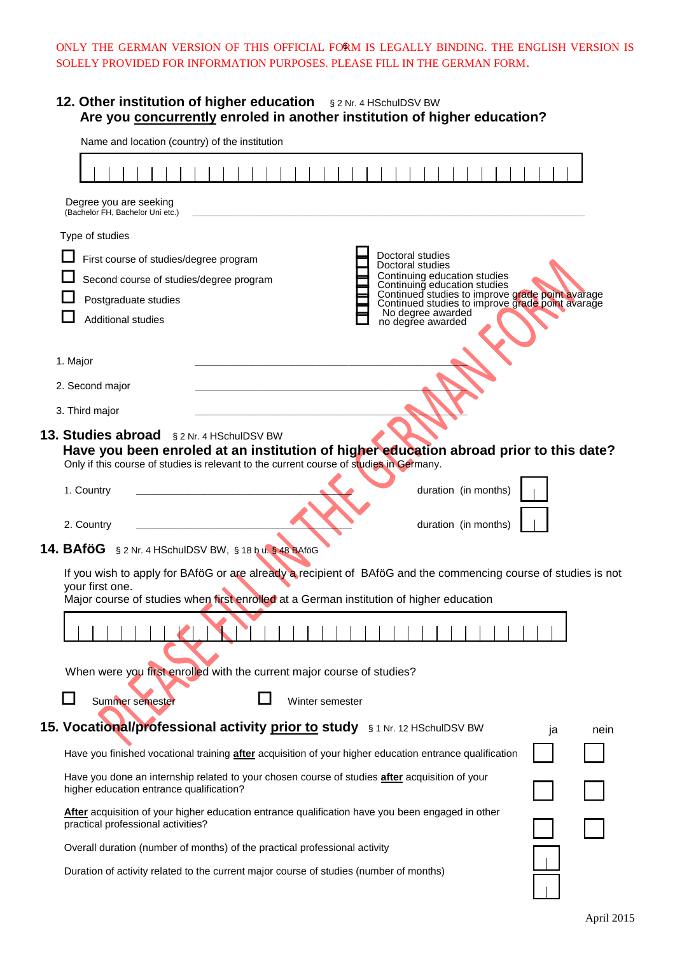### ONLY THE GERMAN VERSION OF THIS OFFICIAL FORM IS LEGALLY BINDING. THE ENGLISH VERSION IS 6 SOLELY PROVIDED FOR INFORMATION PURPOSES. PLEASE FILL IN THE GERMAN FORM.

# **12. Other institution of higher education** § 2 Nr. 4 HSchulDSV BW  **Are you concurrently enroled in another institution of higher education?**

| Degree you are seeking<br>(Bachelor FH, Bachelor Uni etc.)<br>Type of studies<br>Doctoral studies<br>First course of studies/degree program<br>Doctoral studies<br>Continuing education studies<br>Continuing education studies<br>Continued studies to improve grade point avarage<br>Continued studies to improve grade point avarage<br>Second course of studies/degree program<br>Postgraduate studies<br>No degree awarded<br>no degree awarded<br><b>Additional studies</b><br>1. Major<br>2. Second major<br>3. Third major<br>13. Studies abroad § 2 Nr. 4 HSchulDSV BW<br>Have you been enroled at an institution of higher education abroad prior to this date?<br>Only if this course of studies is relevant to the current course of studies in Germany.<br>duration (in months)<br>1. Country<br>duration (in months)<br>2. Country<br>14. BAföG § 2 Nr. 4 HSchulDSV BW, § 18 b u. § 48 BAföG<br>If you wish to apply for BAföG or are already a recipient of BAföG and the commencing course of studies is not<br>your first one.<br>Major course of studies when first enrolled at a German institution of higher education<br>.<br>When were you first enrolled with the current major course of studies?<br>Summer semester<br>Winter semester<br>15. Vocational/professional activity prior to study \$1 Nr. 12 HSchulDSV BW<br>ja<br>Have you finished vocational training <b>after</b> acquisition of your higher education entrance qualification<br>Have you done an internship related to your chosen course of studies after acquisition of your<br>higher education entrance qualification?<br>After acquisition of your higher education entrance qualification have you been engaged in other<br>practical professional activities?<br>Overall duration (number of months) of the practical professional activity<br>Duration of activity related to the current major course of studies (number of months) | Name and location (country) of the institution | <u>concarrently</u> employment another motitution or ingriter cuttoation : |  |  |      |
|----------------------------------------------------------------------------------------------------------------------------------------------------------------------------------------------------------------------------------------------------------------------------------------------------------------------------------------------------------------------------------------------------------------------------------------------------------------------------------------------------------------------------------------------------------------------------------------------------------------------------------------------------------------------------------------------------------------------------------------------------------------------------------------------------------------------------------------------------------------------------------------------------------------------------------------------------------------------------------------------------------------------------------------------------------------------------------------------------------------------------------------------------------------------------------------------------------------------------------------------------------------------------------------------------------------------------------------------------------------------------------------------------------------------------------------------------------------------------------------------------------------------------------------------------------------------------------------------------------------------------------------------------------------------------------------------------------------------------------------------------------------------------------------------------------------------------------------------------------------------------------------------------------------------------------------|------------------------------------------------|----------------------------------------------------------------------------|--|--|------|
|                                                                                                                                                                                                                                                                                                                                                                                                                                                                                                                                                                                                                                                                                                                                                                                                                                                                                                                                                                                                                                                                                                                                                                                                                                                                                                                                                                                                                                                                                                                                                                                                                                                                                                                                                                                                                                                                                                                                        |                                                |                                                                            |  |  |      |
|                                                                                                                                                                                                                                                                                                                                                                                                                                                                                                                                                                                                                                                                                                                                                                                                                                                                                                                                                                                                                                                                                                                                                                                                                                                                                                                                                                                                                                                                                                                                                                                                                                                                                                                                                                                                                                                                                                                                        |                                                |                                                                            |  |  |      |
|                                                                                                                                                                                                                                                                                                                                                                                                                                                                                                                                                                                                                                                                                                                                                                                                                                                                                                                                                                                                                                                                                                                                                                                                                                                                                                                                                                                                                                                                                                                                                                                                                                                                                                                                                                                                                                                                                                                                        |                                                |                                                                            |  |  |      |
|                                                                                                                                                                                                                                                                                                                                                                                                                                                                                                                                                                                                                                                                                                                                                                                                                                                                                                                                                                                                                                                                                                                                                                                                                                                                                                                                                                                                                                                                                                                                                                                                                                                                                                                                                                                                                                                                                                                                        |                                                |                                                                            |  |  |      |
|                                                                                                                                                                                                                                                                                                                                                                                                                                                                                                                                                                                                                                                                                                                                                                                                                                                                                                                                                                                                                                                                                                                                                                                                                                                                                                                                                                                                                                                                                                                                                                                                                                                                                                                                                                                                                                                                                                                                        |                                                |                                                                            |  |  |      |
|                                                                                                                                                                                                                                                                                                                                                                                                                                                                                                                                                                                                                                                                                                                                                                                                                                                                                                                                                                                                                                                                                                                                                                                                                                                                                                                                                                                                                                                                                                                                                                                                                                                                                                                                                                                                                                                                                                                                        |                                                |                                                                            |  |  |      |
|                                                                                                                                                                                                                                                                                                                                                                                                                                                                                                                                                                                                                                                                                                                                                                                                                                                                                                                                                                                                                                                                                                                                                                                                                                                                                                                                                                                                                                                                                                                                                                                                                                                                                                                                                                                                                                                                                                                                        |                                                |                                                                            |  |  |      |
|                                                                                                                                                                                                                                                                                                                                                                                                                                                                                                                                                                                                                                                                                                                                                                                                                                                                                                                                                                                                                                                                                                                                                                                                                                                                                                                                                                                                                                                                                                                                                                                                                                                                                                                                                                                                                                                                                                                                        |                                                |                                                                            |  |  |      |
|                                                                                                                                                                                                                                                                                                                                                                                                                                                                                                                                                                                                                                                                                                                                                                                                                                                                                                                                                                                                                                                                                                                                                                                                                                                                                                                                                                                                                                                                                                                                                                                                                                                                                                                                                                                                                                                                                                                                        |                                                |                                                                            |  |  |      |
|                                                                                                                                                                                                                                                                                                                                                                                                                                                                                                                                                                                                                                                                                                                                                                                                                                                                                                                                                                                                                                                                                                                                                                                                                                                                                                                                                                                                                                                                                                                                                                                                                                                                                                                                                                                                                                                                                                                                        |                                                |                                                                            |  |  |      |
|                                                                                                                                                                                                                                                                                                                                                                                                                                                                                                                                                                                                                                                                                                                                                                                                                                                                                                                                                                                                                                                                                                                                                                                                                                                                                                                                                                                                                                                                                                                                                                                                                                                                                                                                                                                                                                                                                                                                        |                                                |                                                                            |  |  |      |
|                                                                                                                                                                                                                                                                                                                                                                                                                                                                                                                                                                                                                                                                                                                                                                                                                                                                                                                                                                                                                                                                                                                                                                                                                                                                                                                                                                                                                                                                                                                                                                                                                                                                                                                                                                                                                                                                                                                                        |                                                |                                                                            |  |  |      |
|                                                                                                                                                                                                                                                                                                                                                                                                                                                                                                                                                                                                                                                                                                                                                                                                                                                                                                                                                                                                                                                                                                                                                                                                                                                                                                                                                                                                                                                                                                                                                                                                                                                                                                                                                                                                                                                                                                                                        |                                                |                                                                            |  |  |      |
|                                                                                                                                                                                                                                                                                                                                                                                                                                                                                                                                                                                                                                                                                                                                                                                                                                                                                                                                                                                                                                                                                                                                                                                                                                                                                                                                                                                                                                                                                                                                                                                                                                                                                                                                                                                                                                                                                                                                        |                                                |                                                                            |  |  |      |
|                                                                                                                                                                                                                                                                                                                                                                                                                                                                                                                                                                                                                                                                                                                                                                                                                                                                                                                                                                                                                                                                                                                                                                                                                                                                                                                                                                                                                                                                                                                                                                                                                                                                                                                                                                                                                                                                                                                                        |                                                |                                                                            |  |  |      |
|                                                                                                                                                                                                                                                                                                                                                                                                                                                                                                                                                                                                                                                                                                                                                                                                                                                                                                                                                                                                                                                                                                                                                                                                                                                                                                                                                                                                                                                                                                                                                                                                                                                                                                                                                                                                                                                                                                                                        |                                                |                                                                            |  |  |      |
|                                                                                                                                                                                                                                                                                                                                                                                                                                                                                                                                                                                                                                                                                                                                                                                                                                                                                                                                                                                                                                                                                                                                                                                                                                                                                                                                                                                                                                                                                                                                                                                                                                                                                                                                                                                                                                                                                                                                        |                                                |                                                                            |  |  |      |
|                                                                                                                                                                                                                                                                                                                                                                                                                                                                                                                                                                                                                                                                                                                                                                                                                                                                                                                                                                                                                                                                                                                                                                                                                                                                                                                                                                                                                                                                                                                                                                                                                                                                                                                                                                                                                                                                                                                                        |                                                |                                                                            |  |  |      |
|                                                                                                                                                                                                                                                                                                                                                                                                                                                                                                                                                                                                                                                                                                                                                                                                                                                                                                                                                                                                                                                                                                                                                                                                                                                                                                                                                                                                                                                                                                                                                                                                                                                                                                                                                                                                                                                                                                                                        |                                                |                                                                            |  |  |      |
|                                                                                                                                                                                                                                                                                                                                                                                                                                                                                                                                                                                                                                                                                                                                                                                                                                                                                                                                                                                                                                                                                                                                                                                                                                                                                                                                                                                                                                                                                                                                                                                                                                                                                                                                                                                                                                                                                                                                        |                                                |                                                                            |  |  |      |
|                                                                                                                                                                                                                                                                                                                                                                                                                                                                                                                                                                                                                                                                                                                                                                                                                                                                                                                                                                                                                                                                                                                                                                                                                                                                                                                                                                                                                                                                                                                                                                                                                                                                                                                                                                                                                                                                                                                                        |                                                |                                                                            |  |  | nein |
|                                                                                                                                                                                                                                                                                                                                                                                                                                                                                                                                                                                                                                                                                                                                                                                                                                                                                                                                                                                                                                                                                                                                                                                                                                                                                                                                                                                                                                                                                                                                                                                                                                                                                                                                                                                                                                                                                                                                        |                                                |                                                                            |  |  |      |
|                                                                                                                                                                                                                                                                                                                                                                                                                                                                                                                                                                                                                                                                                                                                                                                                                                                                                                                                                                                                                                                                                                                                                                                                                                                                                                                                                                                                                                                                                                                                                                                                                                                                                                                                                                                                                                                                                                                                        |                                                |                                                                            |  |  |      |
|                                                                                                                                                                                                                                                                                                                                                                                                                                                                                                                                                                                                                                                                                                                                                                                                                                                                                                                                                                                                                                                                                                                                                                                                                                                                                                                                                                                                                                                                                                                                                                                                                                                                                                                                                                                                                                                                                                                                        |                                                |                                                                            |  |  |      |
|                                                                                                                                                                                                                                                                                                                                                                                                                                                                                                                                                                                                                                                                                                                                                                                                                                                                                                                                                                                                                                                                                                                                                                                                                                                                                                                                                                                                                                                                                                                                                                                                                                                                                                                                                                                                                                                                                                                                        |                                                |                                                                            |  |  |      |
|                                                                                                                                                                                                                                                                                                                                                                                                                                                                                                                                                                                                                                                                                                                                                                                                                                                                                                                                                                                                                                                                                                                                                                                                                                                                                                                                                                                                                                                                                                                                                                                                                                                                                                                                                                                                                                                                                                                                        |                                                |                                                                            |  |  |      |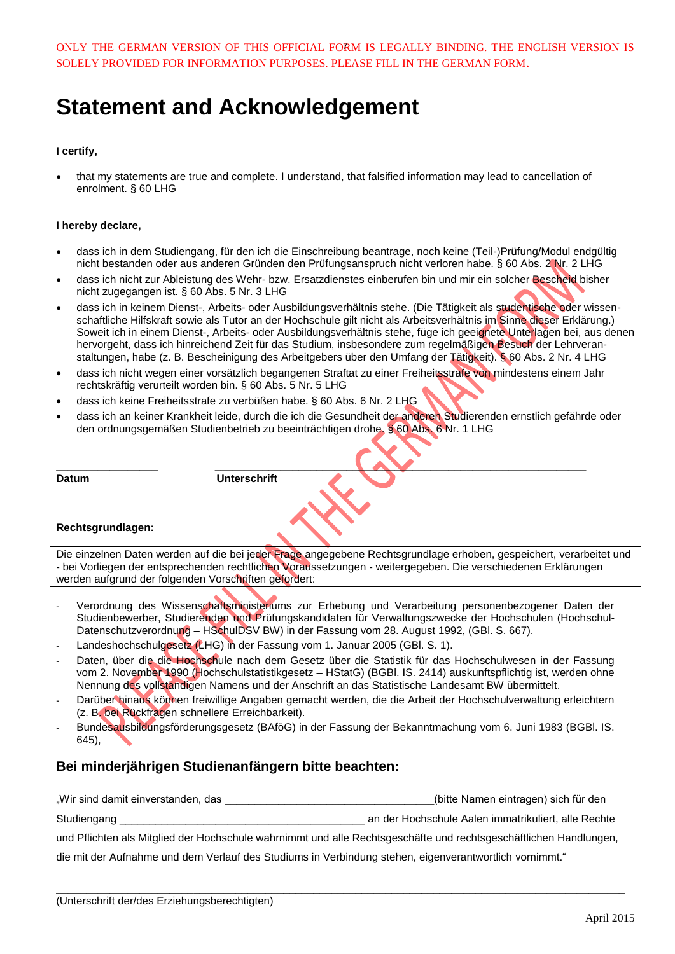ONLY THE GERMAN VERSION OF THIS OFFICIAL FORM IS LEGALLY BINDING. THE ENGLISH VERSION IS 7 SOLELY PROVIDED FOR INFORMATION PURPOSES. PLEASE FILL IN THE GERMAN FORM.

# **Statement and Acknowledgement**

### **I certify,**

 that my statements are true and complete. I understand, that falsified information may lead to cancellation of enrolment. § 60 LHG

### **I hereby declare,**

- dass ich in dem Studiengang, für den ich die Einschreibung beantrage, noch keine (Teil-)Prüfung/Modul endgültig nicht bestanden oder aus anderen Gründen den Prüfungsanspruch nicht verloren habe. § 60 Abs. 2 Nr. 2 LHG
- dass ich nicht zur Ableistung des Wehr- bzw. Ersatzdienstes einberufen bin und mir ein solcher Bescheid bisher nicht zugegangen ist. § 60 Abs. 5 Nr. 3 LHG
- dass ich in keinem Dienst-, Arbeits- oder Ausbildungsverhältnis stehe. (Die Tätigkeit als studentische oder wissenschaftliche Hilfskraft sowie als Tutor an der Hochschule gilt nicht als Arbeitsverhältnis im Sinne dieser Erklärung.) Soweit ich in einem Dienst-, Arbeits- oder Ausbildungsverhältnis stehe, füge ich geeignete Unterlagen bei, aus denen hervorgeht, dass ich hinreichend Zeit für das Studium, insbesondere zum regelmäßigen Besuch der Lehrveranstaltungen, habe (z. B. Bescheinigung des Arbeitgebers über den Umfang der Tätigkeit). § 60 Abs. 2 Nr. 4 LHG
- dass ich nicht wegen einer vorsätzlich begangenen Straftat zu einer Freiheitsstrafe von mindestens einem Jahr rechtskräftig verurteilt worden bin. § 60 Abs. 5 Nr. 5 LHG
- dass ich keine Freiheitsstrafe zu verbüßen habe. § 60 Abs. 6 Nr. 2 LHG
- dass ich an keiner Krankheit leide, durch die ich die Gesundheit der anderen Studierenden ernstlich gefährde oder den ordnungsgemäßen Studienbetrieb zu beeinträchtigen drohe. § 60 Abs. 6 Nr. 1 LHG

**\_\_\_\_\_\_\_\_\_\_\_\_\_\_\_\_\_ \_\_\_\_\_\_\_\_\_\_\_\_\_\_\_\_\_\_\_\_\_\_\_\_\_\_\_\_\_\_\_\_\_\_\_\_\_\_\_\_\_\_\_\_\_\_\_\_\_\_\_\_\_\_\_\_\_\_\_\_\_\_**

**Datum Unterschrift**

#### **Rechtsgrundlagen:**

Die einzelnen Daten werden auf die bei jeder Frage angegebene Rechtsgrundlage erhoben, gespeichert, verarbeitet und - bei Vorliegen der entsprechenden rechtlichen Voraussetzungen - weitergegeben. Die verschiedenen Erklärungen werden aufgrund der folgenden Vorschriften gefordert:

- Verordnung des Wissenschaftsministeriums zur Erhebung und Verarbeitung personenbezogener Daten der Studienbewerber, Studierenden und Prüfungskandidaten für Verwaltungszwecke der Hochschulen (Hochschul-Datenschutzverordnung - HSchulDSV BW) in der Fassung vom 28. August 1992, (GBI. S. 667).
- Landeshochschulgesetz (LHG) in der Fassung vom 1. Januar 2005 (GBI. S. 1).
- Daten, über die die Hochschule nach dem Gesetz über die Statistik für das Hochschulwesen in der Fassung vom 2. November 1990 (Hochschulstatistikgesetz – HStatG) (BGBl. IS. 2414) auskunftspflichtig ist, werden ohne Nennung des vollständigen Namens und der Anschrift an das Statistische Landesamt BW übermittelt.
- Darüber hinaus können freiwillige Angaben gemacht werden, die die Arbeit der Hochschulverwaltung erleichtern (z. B. bei Rückfragen schnellere Erreichbarkeit).
- Bundesausbildungsförderungsgesetz (BAföG) in der Fassung der Bekanntmachung vom 6. Juni 1983 (BGBl. IS. 645),

### **Bei minderjährigen Studienanfängern bitte beachten:**

"Wir sind damit einverstanden, das \_\_\_\_\_\_\_\_\_\_\_\_\_\_\_\_\_\_\_\_\_\_\_\_\_\_\_\_\_\_\_\_\_\_\_(bitte Namen eintragen) sich für den Studiengang \_\_\_\_\_\_\_\_\_\_\_\_\_\_\_\_\_\_\_\_\_\_\_\_\_\_\_\_\_\_\_\_\_\_\_\_\_\_\_\_\_ an der Hochschule Aalen immatrikuliert, alle Rechte

und Pflichten als Mitglied der Hochschule wahrnimmt und alle Rechtsgeschäfte und rechtsgeschäftlichen Handlungen, die mit der Aufnahme und dem Verlauf des Studiums in Verbindung stehen, eigenverantwortlich vornimmt."

 $\overline{\phantom{a}}$  , and the contribution of the contribution of the contribution of the contribution of the contribution of the contribution of the contribution of the contribution of the contribution of the contribution of the